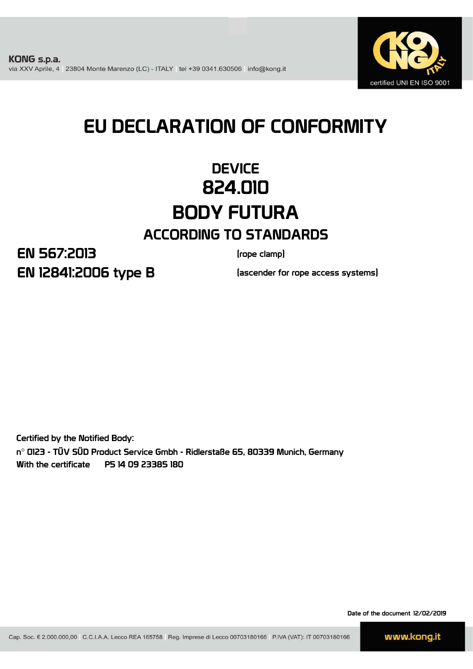

# EU DECLARATION OF CONFORMITY

# **DEVICE** 824.010 BODY FUTURA ACCORDING TO STANDARDS

EN 12841:2006 type B EN 567:2013

(rope clamp)

(ascender for rope access systems)

Certified by the Notified Body: n° 0123 - TÜV SÜD Product Service Gmbh - Ridlerstaße 65, 80339 Munich, Germany With the certificate P5 14 09 23385 180

Date of the document 12/02/2019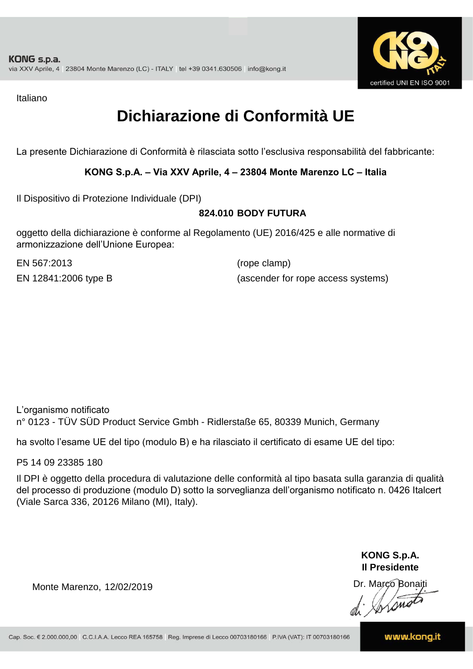

Italiano

# **Dichiarazione di Conformità UE**

La presente Dichiarazione di Conformità è rilasciata sotto l'esclusiva responsabilità del fabbricante:

#### **KONG S.p.A. – Via XXV Aprile, 4 – 23804 Monte Marenzo LC – Italia**

Il Dispositivo di Protezione Individuale (DPI)

#### **824.010 BODY FUTURA**

oggetto della dichiarazione è conforme al Regolamento (UE) 2016/425 e alle normative di armonizzazione dell'Unione Europea:

EN 567:2013

(rope clamp) EN 12841:2006 type B (ascender for rope access systems)

L'organismo notificato n° 0123 - TÜV SÜD Product Service Gmbh - Ridlerstaße 65, 80339 Munich, Germany

ha svolto l'esame UE del tipo (modulo B) e ha rilasciato il certificato di esame UE del tipo:

P5 14 09 23385 180

Il DPI è oggetto della procedura di valutazione delle conformità al tipo basata sulla garanzia di qualità del processo di produzione (modulo D) sotto la sorveglianza dell'organismo notificato n. 0426 Italcert (Viale Sarca 336, 20126 Milano (MI), Italy).

> **KONG S.p.A. Il Presidente**

Monte Marenzo, 12/02/2019<br>
Monte Marenzo, 12/02/2019<br>
A Marco Bonaiti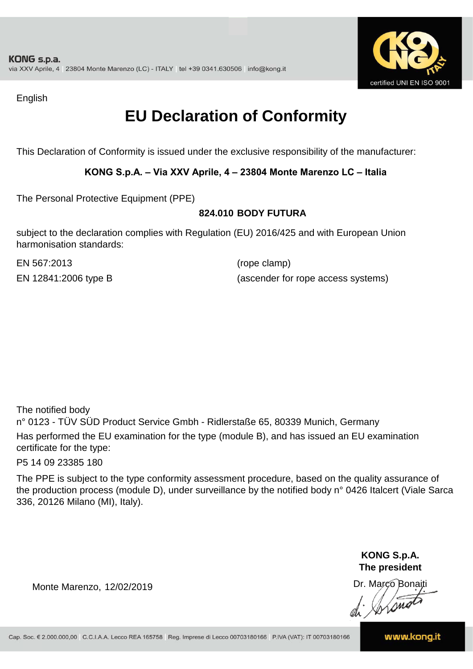

English

## **EU Declaration of Conformity**

This Declaration of Conformity is issued under the exclusive responsibility of the manufacturer:

#### **KONG S.p.A. – Via XXV Aprile, 4 – 23804 Monte Marenzo LC – Italia**

The Personal Protective Equipment (PPE)

#### **824.010 BODY FUTURA**

subject to the declaration complies with Regulation (EU) 2016/425 and with European Union harmonisation standards:

EN 567:2013 (rope clamp)

EN 12841:2006 type B (ascender for rope access systems)

The notified body

n° 0123 - TÜV SÜD Product Service Gmbh - Ridlerstaße 65, 80339 Munich, Germany Has performed the EU examination for the type (module B), and has issued an EU examination certificate for the type:

P5 14 09 23385 180

The PPE is subject to the type conformity assessment procedure, based on the quality assurance of the production process (module D), under surveillance by the notified body n° 0426 Italcert (Viale Sarca 336, 20126 Milano (MI), Italy).

> **KONG S.p.A. The president**

Dr. Marco Bonaiti

Monte Marenzo, 12/02/2019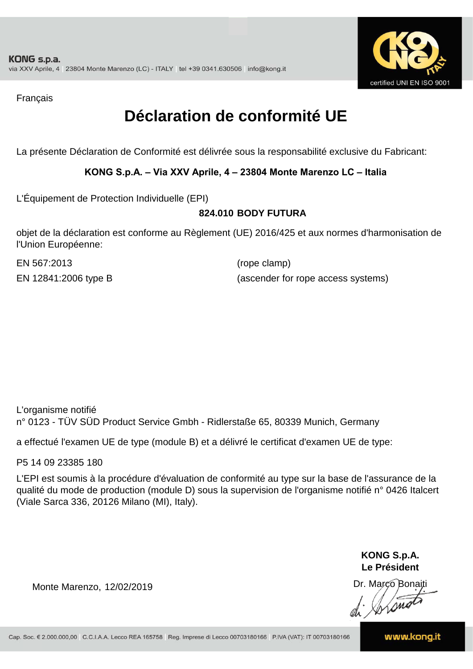

Français

## **Déclaration de conformité UE**

La présente Déclaration de Conformité est délivrée sous la responsabilité exclusive du Fabricant:

#### **KONG S.p.A. – Via XXV Aprile, 4 – 23804 Monte Marenzo LC – Italia**

L'Équipement de Protection Individuelle (EPI)

#### **824.010 BODY FUTURA**

objet de la déclaration est conforme au Règlement (UE) 2016/425 et aux normes d'harmonisation de l'Union Européenne:

EN 567:2013 (rope clamp)

EN 12841:2006 type B (ascender for rope access systems)

L'organisme notifié n° 0123 - TÜV SÜD Product Service Gmbh - Ridlerstaße 65, 80339 Munich, Germany

a effectué l'examen UE de type (module B) et a délivré le certificat d'examen UE de type:

P5 14 09 23385 180

L'EPI est soumis à la procédure d'évaluation de conformité au type sur la base de l'assurance de la qualité du mode de production (module D) sous la supervision de l'organisme notifié n° 0426 Italcert (Viale Sarca 336, 20126 Milano (MI), Italy).

> **KONG S.p.A. Le Président**

Dr. Marco Bonaiti di Aromor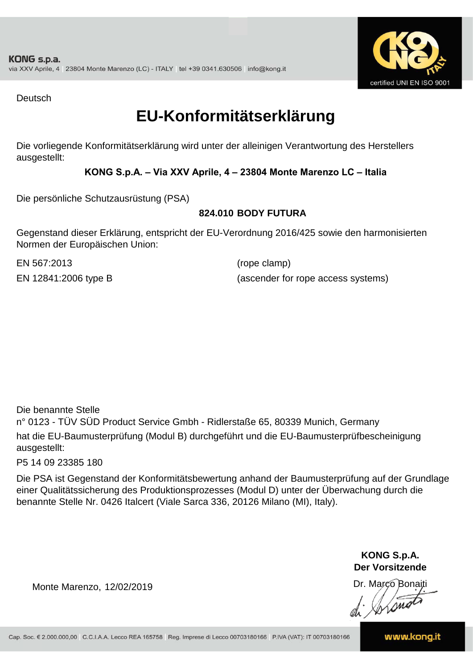

Deutsch

### **EU-Konformitätserklärung**

Die vorliegende Konformitätserklärung wird unter der alleinigen Verantwortung des Herstellers ausgestellt:

#### **KONG S.p.A. – Via XXV Aprile, 4 – 23804 Monte Marenzo LC – Italia**

Die persönliche Schutzausrüstung (PSA)

#### **824.010 BODY FUTURA**

Gegenstand dieser Erklärung, entspricht der EU-Verordnung 2016/425 sowie den harmonisierten Normen der Europäischen Union:

EN 567:2013 (rope clamp)

EN 12841:2006 type B (ascender for rope access systems)

Die benannte Stelle

n° 0123 - TÜV SÜD Product Service Gmbh - Ridlerstaße 65, 80339 Munich, Germany hat die EU-Baumusterprüfung (Modul B) durchgeführt und die EU-Baumusterprüfbescheinigung ausgestellt:

P5 14 09 23385 180

Die PSA ist Gegenstand der Konformitätsbewertung anhand der Baumusterprüfung auf der Grundlage einer Qualitätssicherung des Produktionsprozesses (Modul D) unter der Überwachung durch die benannte Stelle Nr. 0426 Italcert (Viale Sarca 336, 20126 Milano (MI), Italy).

> **KONG S.p.A. Der Vorsitzende**

Dr. Marco Bonaiti

Monte Marenzo, 12/02/2019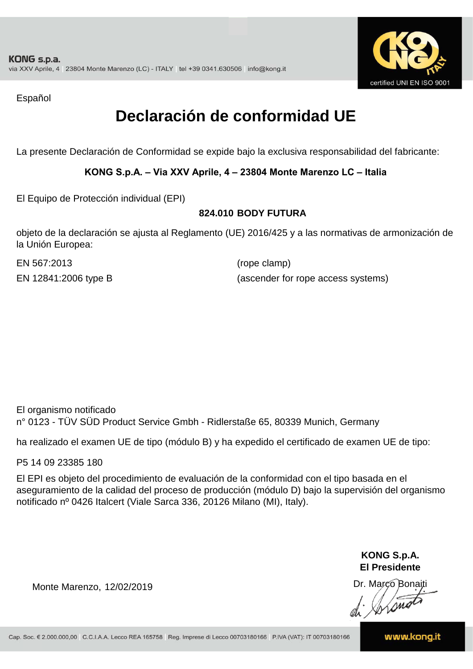

Español

## **Declaración de conformidad UE**

La presente Declaración de Conformidad se expide bajo la exclusiva responsabilidad del fabricante:

**KONG S.p.A. – Via XXV Aprile, 4 – 23804 Monte Marenzo LC – Italia**

El Equipo de Protección individual (EPI)

#### **824.010 BODY FUTURA**

objeto de la declaración se ajusta al Reglamento (UE) 2016/425 y a las normativas de armonización de la Unión Europea:

EN 567:2013

(rope clamp) EN 12841:2006 type B (ascender for rope access systems)

El organismo notificado n° 0123 - TÜV SÜD Product Service Gmbh - Ridlerstaße 65, 80339 Munich, Germany

ha realizado el examen UE de tipo (módulo B) y ha expedido el certificado de examen UE de tipo:

P5 14 09 23385 180

El EPI es objeto del procedimiento de evaluación de la conformidad con el tipo basada en el aseguramiento de la calidad del proceso de producción (módulo D) bajo la supervisión del organismo notificado nº 0426 Italcert (Viale Sarca 336, 20126 Milano (MI), Italy).

> **KONG S.p.A. El Presidente**

Dr. Marco Bonaiti di Aromor

Monte Marenzo, 12/02/2019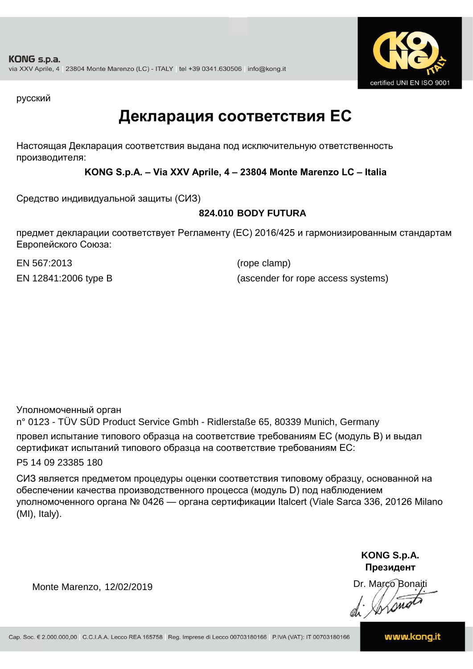

русский

### **Декларация соответствия ЕС**

Настоящая Декларация соответствия выдана под исключительную ответственность производителя:

**KONG S.p.A. – Via XXV Aprile, 4 – 23804 Monte Marenzo LC – Italia**

Средство индивидуальной защиты (СИЗ)

#### **824.010 BODY FUTURA**

предмет декларации соответствует Регламенту (ЕС) 2016/425 и гармонизированным стандартам Европейского Союза:

EN 567:2013 (rope clamp)

EN 12841:2006 type B (ascender for rope access systems)

Уполномоченный орган

n° 0123 - TÜV SÜD Product Service Gmbh - Ridlerstaße 65, 80339 Munich, Germany провел испытание типового образца на соответствие требованиям ЕС (модуль B) и выдал сертификат испытаний типового образца на соответствие требованиям ЕС:

P5 14 09 23385 180

СИЗ является предметом процедуры оценки соответствия типовому образцу, основанной на обеспечении качества производственного процесса (модуль D) под наблюдением уполномоченного органа № 0426 — органа сертификации Italcert (Viale Sarca 336, 20126 Milano (MI), Italy).

> **KONG S.p.A. Президент**

Dr. Marco Bonaiti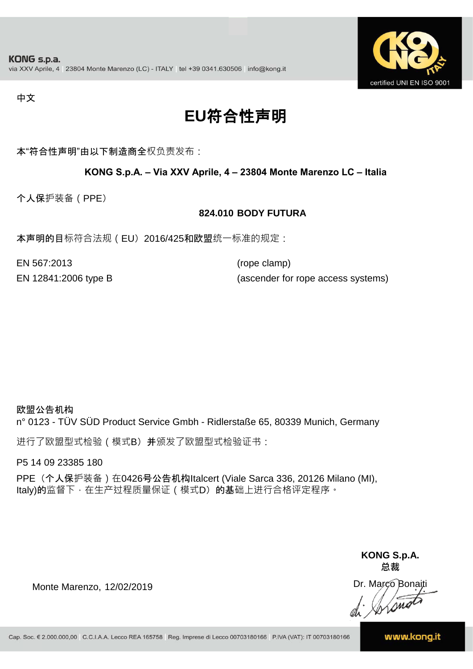

#### 中文

# **EU**符合性声明

本"符合性声明"由以下制造商全权负责发布:

#### **KONG S.p.A. – Via XXV Aprile, 4 – 23804 Monte Marenzo LC – Italia**

个人保护装备(PPE)

#### **824.010 BODY FUTURA**

本声明的目标符合法规(EU) 2016/425和欧盟统一标准的规定:

EN 567:2013 (rope clamp)

EN 12841:2006 type B (ascender for rope access systems)

#### 欧盟公告机构

n° 0123 - TÜV SÜD Product Service Gmbh - Ridlerstaße 65, 80339 Munich, Germany

进行了欧盟型式检验(模式B) 并颁发了欧盟型式检验证书:

P5 14 09 23385 180

PPE (个人保护装备) 在0426号公告机构Italcert (Viale Sarca 336, 20126 Milano (MI), Italy)的监督下, 在生产过程质量保证 ( 模式D) 的基础上进行合格评定程序。

> **KONG S.p.A. 总裁**

Dr. Marco Bonaiti di Stono

Monte Marenzo, 12/02/2019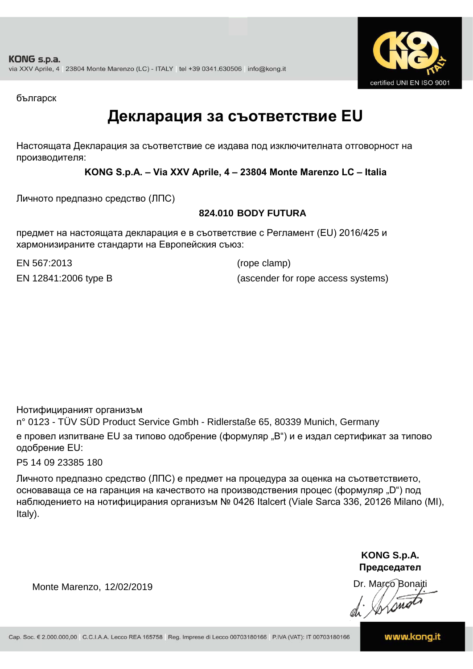

българск

### **Декларация за съответствие EU**

Настоящата Декларация за съответствие се издава под изключителната отговорност на производителя:

**KONG S.p.A. – Via XXV Aprile, 4 – 23804 Monte Marenzo LC – Italia**

Личното предпазно средство (ЛПС)

#### **824.010 BODY FUTURA**

предмет на настоящата декларация е в съответствие с Регламент (ЕU) 2016/425 и хармонизираните стандарти на Европейския съюз:

EN 567:2013 (rope clamp)

EN 12841:2006 type B (ascender for rope access systems)

Нотифицираният организъм

n° 0123 - TÜV SÜD Product Service Gmbh - Ridlerstaße 65, 80339 Munich, Germany е провел изпитване EU за типово одобрение (формуляр "B") и е издал сертификат за типово одобрение ЕU:

P5 14 09 23385 180

Личното предпазно средство (ЛПС) е предмет на процедура за оценка на съответствието, основаваща се на гаранция на качеството на производствения процес (формуляр "D") под наблюдението на нотифицирания организъм № 0426 Italcert (Viale Sarca 336, 20126 Milano (MI), Italy).

> **KONG S.p.A. Председател**

Dr. Marco Bonaiti di Arono

Monte Marenzo, 12/02/2019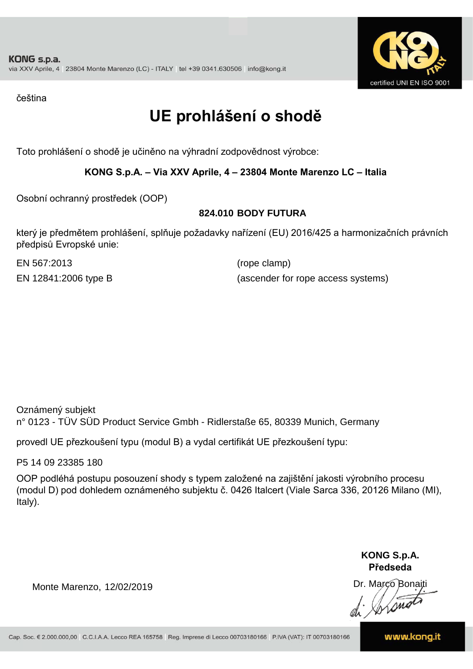

čeština

## **UE prohlášení o shodě**

Toto prohlášení o shodě je učiněno na výhradní zodpovědnost výrobce:

#### **KONG S.p.A. – Via XXV Aprile, 4 – 23804 Monte Marenzo LC – Italia**

Osobní ochranný prostředek (OOP)

#### **824.010 BODY FUTURA**

který je předmětem prohlášení, splňuje požadavky nařízení (EU) 2016/425 a harmonizačních právních předpisů Evropské unie:

EN 567:2013 (rope clamp)

EN 12841:2006 type B (ascender for rope access systems)

Oznámený subjekt n° 0123 - TÜV SÜD Product Service Gmbh - Ridlerstaße 65, 80339 Munich, Germany

provedl UE přezkoušení typu (modul B) a vydal certifikát UE přezkoušení typu:

P5 14 09 23385 180

OOP podléhá postupu posouzení shody s typem založené na zajištění jakosti výrobního procesu (modul D) pod dohledem oznámeného subjektu č. 0426 Italcert (Viale Sarca 336, 20126 Milano (MI), Italy).

> **KONG S.p.A. Předseda**

Dr. Marco Bonaiti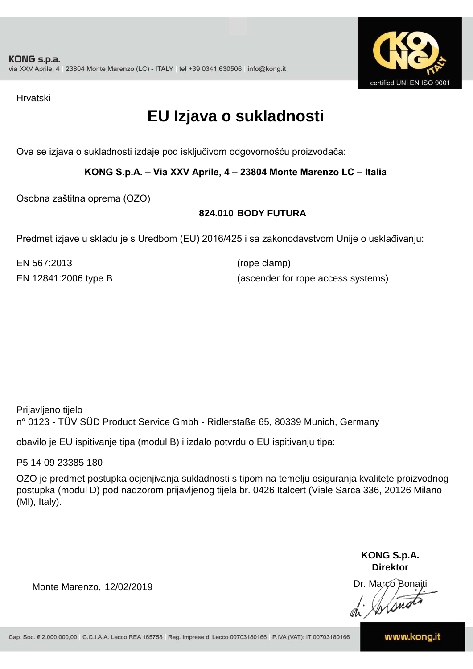

Hrvatski

## **EU Izjava o sukladnosti**

Ova se izjava o sukladnosti izdaje pod isključivom odgovornošću proizvođača:

**KONG S.p.A. – Via XXV Aprile, 4 – 23804 Monte Marenzo LC – Italia**

Osobna zaštitna oprema (OZO)

#### **824.010 BODY FUTURA**

Predmet izjave u skladu je s Uredbom (EU) 2016/425 i sa zakonodavstvom Unije o usklađivanju:

EN 567:2013 (rope clamp)

EN 12841:2006 type B (ascender for rope access systems)

Prijavljeno tijelo n° 0123 - TÜV SÜD Product Service Gmbh - Ridlerstaße 65, 80339 Munich, Germany

obavilo je EU ispitivanje tipa (modul B) i izdalo potvrdu o EU ispitivanju tipa:

P5 14 09 23385 180

OZO je predmet postupka ocjenjivanja sukladnosti s tipom na temelju osiguranja kvalitete proizvodnog postupka (modul D) pod nadzorom prijavljenog tijela br. 0426 Italcert (Viale Sarca 336, 20126 Milano (MI), Italy).

> **KONG S.p.A. Direktor**

Dr. Marco Bonaiti di Stono

Monte Marenzo, 12/02/2019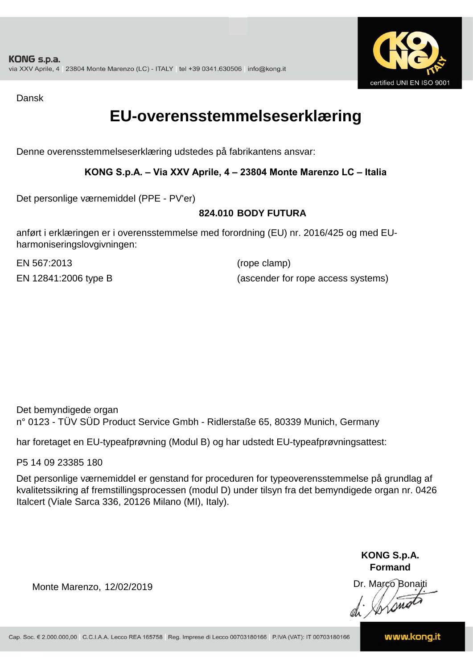

Dansk

### **EU-overensstemmelseserklæring**

Denne overensstemmelseserklæring udstedes på fabrikantens ansvar:

#### **KONG S.p.A. – Via XXV Aprile, 4 – 23804 Monte Marenzo LC – Italia**

Det personlige værnemiddel (PPE - PV'er)

#### **824.010 BODY FUTURA**

anført i erklæringen er i overensstemmelse med forordning (EU) nr. 2016/425 og med EUharmoniseringslovgivningen:

EN 567:2013 (rope clamp)

EN 12841:2006 type B (ascender for rope access systems)

Det bemyndigede organ n° 0123 - TÜV SÜD Product Service Gmbh - Ridlerstaße 65, 80339 Munich, Germany

har foretaget en EU-typeafprøvning (Modul B) og har udstedt EU-typeafprøvningsattest:

P5 14 09 23385 180

Det personlige værnemiddel er genstand for proceduren for typeoverensstemmelse på grundlag af kvalitetssikring af fremstillingsprocessen (modul D) under tilsyn fra det bemyndigede organ nr. 0426 Italcert (Viale Sarca 336, 20126 Milano (MI), Italy).

> **KONG S.p.A. Formand**

Dr. Marco Bonaiti di Aromor

Monte Marenzo, 12/02/2019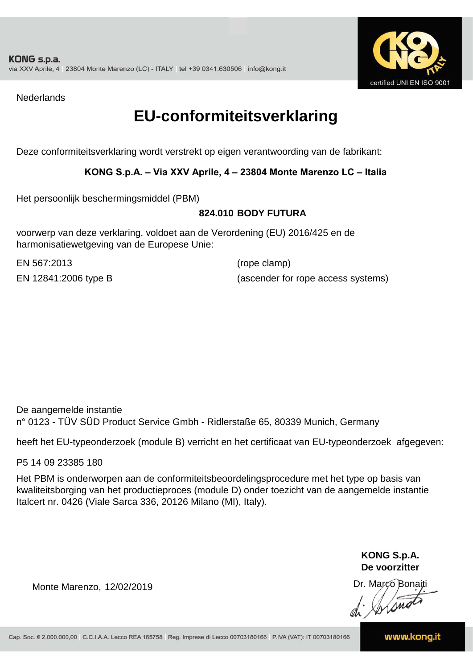

**Nederlands** 

### **EU-conformiteitsverklaring**

Deze conformiteitsverklaring wordt verstrekt op eigen verantwoording van de fabrikant:

#### **KONG S.p.A. – Via XXV Aprile, 4 – 23804 Monte Marenzo LC – Italia**

Het persoonlijk beschermingsmiddel (PBM)

#### **824.010 BODY FUTURA**

voorwerp van deze verklaring, voldoet aan de Verordening (EU) 2016/425 en de harmonisatiewetgeving van de Europese Unie:

EN 567:2013 (rope clamp)

EN 12841:2006 type B (ascender for rope access systems)

De aangemelde instantie n° 0123 - TÜV SÜD Product Service Gmbh - Ridlerstaße 65, 80339 Munich, Germany

heeft het EU-typeonderzoek (module B) verricht en het certificaat van EU-typeonderzoek afgegeven:

P5 14 09 23385 180

Het PBM is onderworpen aan de conformiteitsbeoordelingsprocedure met het type op basis van kwaliteitsborging van het productieproces (module D) onder toezicht van de aangemelde instantie Italcert nr. 0426 (Viale Sarca 336, 20126 Milano (MI), Italy).

> **KONG S.p.A. De voorzitter**

Dr. Marco Bonaiti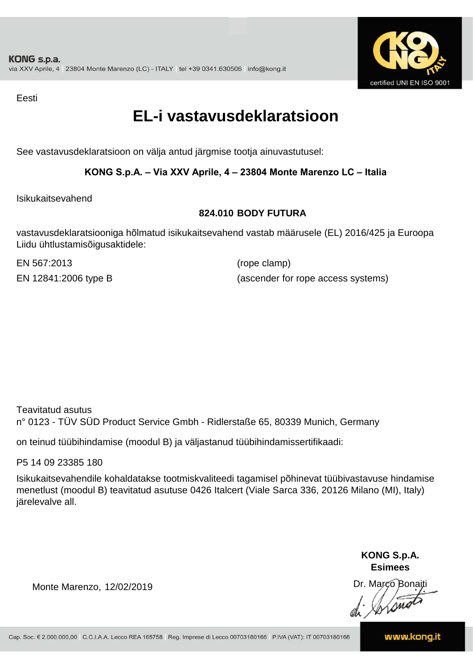

Eesti

### **EL-i vastavusdeklaratsioon**

See vastavusdeklaratsioon on välja antud järgmise tootja ainuvastutusel:

#### **KONG S.p.A. – Via XXV Aprile, 4 – 23804 Monte Marenzo LC – Italia**

Isikukaitsevahend

#### **824.010 BODY FUTURA**

vastavusdeklaratsiooniga hõlmatud isikukaitsevahend vastab määrusele (EL) 2016/425 ja Euroopa Liidu ühtlustamisõigusaktidele:

EN 567:2013 (rope clamp)

EN 12841:2006 type B (ascender for rope access systems)

Teavitatud asutus n° 0123 - TÜV SÜD Product Service Gmbh - Ridlerstaße 65, 80339 Munich, Germany

on teinud tüübihindamise (moodul B) ja väljastanud tüübihindamissertifikaadi:

P5 14 09 23385 180

Isikukaitsevahendile kohaldatakse tootmiskvaliteedi tagamisel põhinevat tüübivastavuse hindamise menetlust (moodul B) teavitatud asutuse 0426 Italcert (Viale Sarca 336, 20126 Milano (MI), Italy) järelevalve all.

> **KONG S.p.A. Esimees**

Dr. Marco Bonaiti di Stono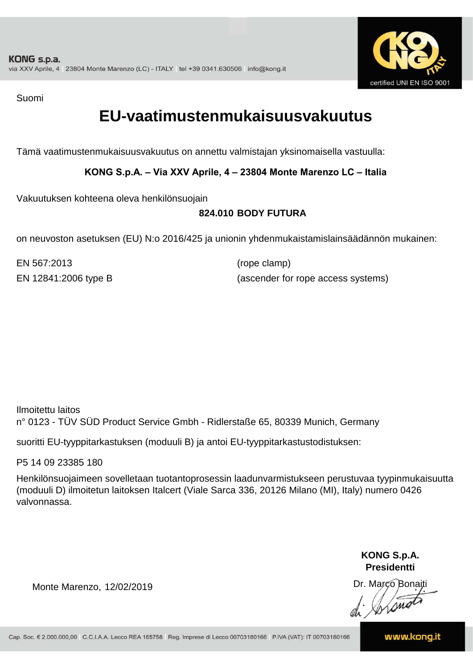

Suomi

### **EU-vaatimustenmukaisuusvakuutus**

Tämä vaatimustenmukaisuusvakuutus on annettu valmistajan yksinomaisella vastuulla:

**KONG S.p.A. – Via XXV Aprile, 4 – 23804 Monte Marenzo LC – Italia**

Vakuutuksen kohteena oleva henkilönsuojain

#### **824.010 BODY FUTURA**

on neuvoston asetuksen (EU) N:o 2016/425 ja unionin yhdenmukaistamislainsäädännön mukainen:

EN 567:2013 (rope clamp)

EN 12841:2006 type B (ascender for rope access systems)

Ilmoitettu laitos n° 0123 - TÜV SÜD Product Service Gmbh - Ridlerstaße 65, 80339 Munich, Germany

suoritti EU-tyyppitarkastuksen (moduuli B) ja antoi EU-tyyppitarkastustodistuksen:

P5 14 09 23385 180

Henkilönsuojaimeen sovelletaan tuotantoprosessin laadunvarmistukseen perustuvaa tyypinmukaisuutta (moduuli D) ilmoitetun laitoksen Italcert (Viale Sarca 336, 20126 Milano (MI), Italy) numero 0426 valvonnassa.

> **KONG S.p.A. Presidentti**

Dr. Marco Bonaiti di Simon

Monte Marenzo, 12/02/2019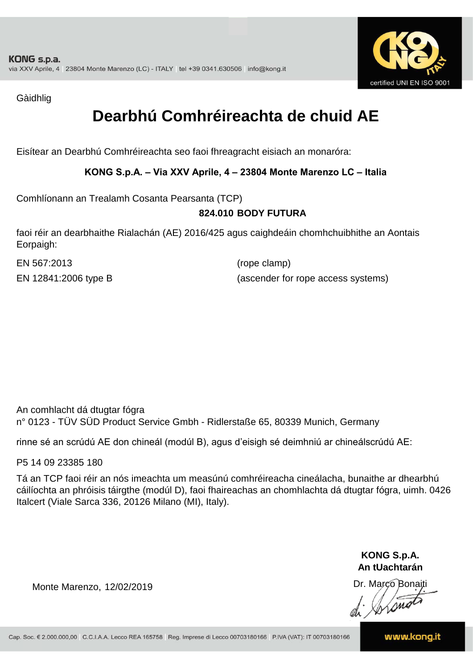

Gàidhlig

## **Dearbhú Comhréireachta de chuid AE**

Eisítear an Dearbhú Comhréireachta seo faoi fhreagracht eisiach an monaróra:

**KONG S.p.A. – Via XXV Aprile, 4 – 23804 Monte Marenzo LC – Italia**

Comhlíonann an Trealamh Cosanta Pearsanta (TCP)

#### **824.010 BODY FUTURA**

faoi réir an dearbhaithe Rialachán (AE) 2016/425 agus caighdeáin chomhchuibhithe an Aontais Eorpaigh:

EN 567:2013 (rope clamp)

EN 12841:2006 type B (ascender for rope access systems)

An comhlacht dá dtugtar fógra n° 0123 - TÜV SÜD Product Service Gmbh - Ridlerstaße 65, 80339 Munich, Germany

rinne sé an scrúdú AE don chineál (modúl B), agus d'eisigh sé deimhniú ar chineálscrúdú AE:

P5 14 09 23385 180

Tá an TCP faoi réir an nós imeachta um measúnú comhréireacha cineálacha, bunaithe ar dhearbhú cáilíochta an phróisis táirgthe (modúl D), faoi fhaireachas an chomhlachta dá dtugtar fógra, uimh. 0426 Italcert (Viale Sarca 336, 20126 Milano (MI), Italy).

> **KONG S.p.A. An tUachtarán**

Dr. Marco Bonaiti di Stono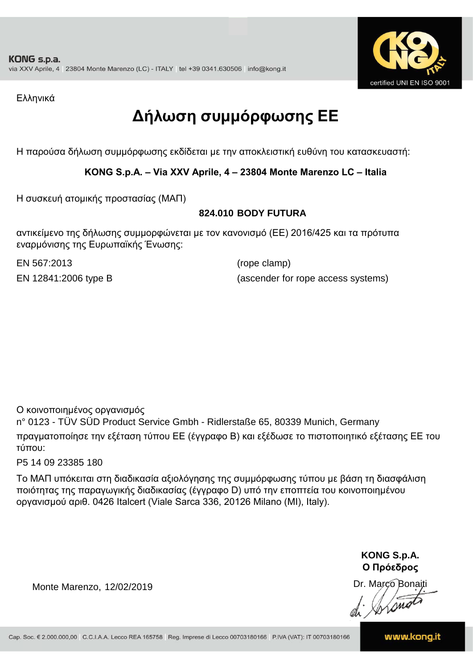

Ελληνικά

# **Δήλωση συμμόρφωσης ΕE**

Η παρούσα δήλωση συμμόρφωσης εκδίδεται με την αποκλειστική ευθύνη του κατασκευαστή:

**KONG S.p.A. – Via XXV Aprile, 4 – 23804 Monte Marenzo LC – Italia**

Η συσκευή ατομικής προστασίας (ΜΑΠ)

#### **824.010 BODY FUTURA**

αντικείμενο της δήλωσης συμμορφώνεται με τον κανονισμό (ΕΕ) 2016/425 και τα πρότυπα εναρμόνισης της Ευρωπαϊκής Ένωσης:

EN 567:2013 (rope clamp)

EN 12841:2006 type B (ascender for rope access systems)

Ο κοινοποιημένος οργανισμός

n° 0123 - TÜV SÜD Product Service Gmbh - Ridlerstaße 65, 80339 Munich, Germany πραγματοποίησε την εξέταση τύπου ΕΕ (έγγραφο Β) και εξέδωσε το πιστοποιητικό εξέτασης ΕΕ του τύπου:

P5 14 09 23385 180

Το ΜΑΠ υπόκειται στη διαδικασία αξιολόγησης της συμμόρφωσης τύπου με βάση τη διασφάλιση ποιότητας της παραγωγικής διαδικασίας (έγγραφο D) υπό την εποπτεία του κοινοποιημένου οργανισμού αριθ. 0426 Italcert (Viale Sarca 336, 20126 Milano (MI), Italy).

> **KONG S.p.A. Ο Πρόεδρος**

Dr. Marco Bonaiti di Stonom

Monte Marenzo, 12/02/2019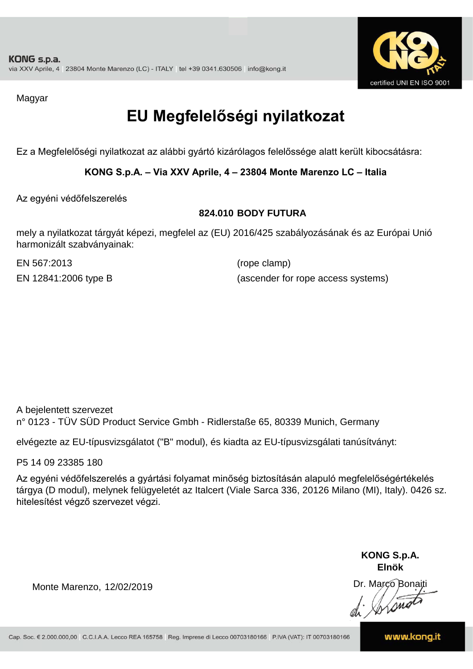

Magyar

# **EU Megfelelőségi nyilatkozat**

Ez a Megfelelőségi nyilatkozat az alábbi gyártó kizárólagos felelőssége alatt került kibocsátásra:

**KONG S.p.A. – Via XXV Aprile, 4 – 23804 Monte Marenzo LC – Italia**

Az egyéni védőfelszerelés

#### **824.010 BODY FUTURA**

mely a nyilatkozat tárgyát képezi, megfelel az (EU) 2016/425 szabályozásának és az Európai Unió harmonizált szabványainak:

EN 567:2013 (rope clamp)

EN 12841:2006 type B (ascender for rope access systems)

A bejelentett szervezet n° 0123 - TÜV SÜD Product Service Gmbh - Ridlerstaße 65, 80339 Munich, Germany

elvégezte az EU-típusvizsgálatot ("B" modul), és kiadta az EU-típusvizsgálati tanúsítványt:

P5 14 09 23385 180

Az egyéni védőfelszerelés a gyártási folyamat minőség biztosításán alapuló megfelelőségértékelés tárgya (D modul), melynek felügyeletét az Italcert (Viale Sarca 336, 20126 Milano (MI), Italy). 0426 sz. hitelesítést végző szervezet végzi.

> **KONG S.p.A. Elnök**

Dr. Marco Bonaiti di Aromor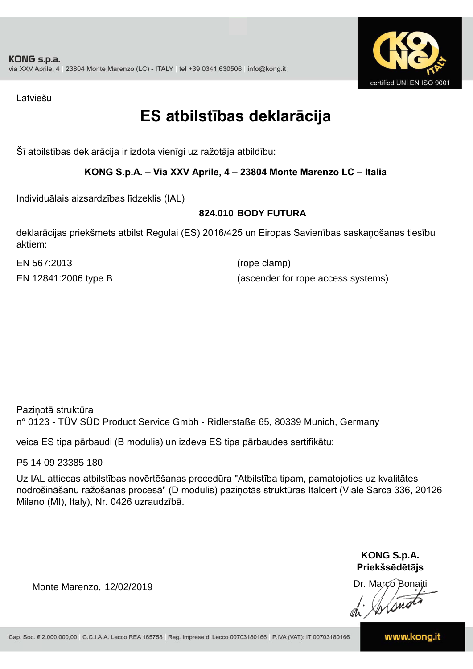

Latviešu

## **ES atbilstības deklarācija**

Šī atbilstības deklarācija ir izdota vienīgi uz ražotāja atbildību:

#### **KONG S.p.A. – Via XXV Aprile, 4 – 23804 Monte Marenzo LC – Italia**

Individuālais aizsardzības līdzeklis (IAL)

#### **824.010 BODY FUTURA**

deklarācijas priekšmets atbilst Regulai (ES) 2016/425 un Eiropas Savienības saskaņošanas tiesību aktiem:

EN 567:2013 (rope clamp)

EN 12841:2006 type B (ascender for rope access systems)

Paziņotā struktūra n° 0123 - TÜV SÜD Product Service Gmbh - Ridlerstaße 65, 80339 Munich, Germany

veica ES tipa pārbaudi (B modulis) un izdeva ES tipa pārbaudes sertifikātu:

P5 14 09 23385 180

Uz IAL attiecas atbilstības novērtēšanas procedūra "Atbilstība tipam, pamatojoties uz kvalitātes nodrošināšanu ražošanas procesā" (D modulis) paziņotās struktūras Italcert (Viale Sarca 336, 20126 Milano (MI), Italy), Nr. 0426 uzraudzībā.

> **KONG S.p.A. Priekšsēdētājs**

Dr. Marco Bonaiti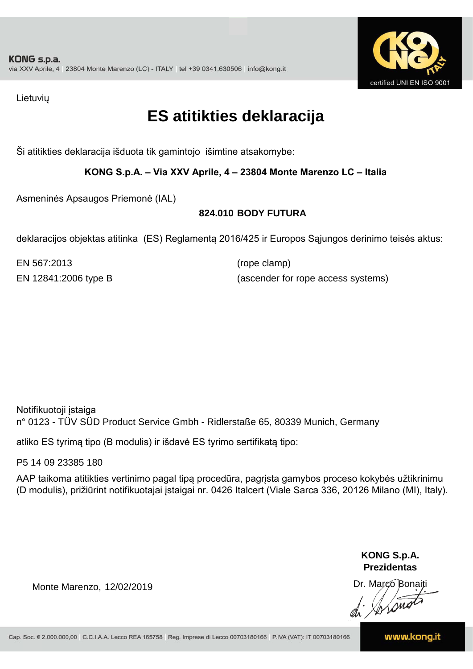

Lietuvių

### **ES atitikties deklaracija**

Ši atitikties deklaracija išduota tik gamintojo išimtine atsakomybe:

**KONG S.p.A. – Via XXV Aprile, 4 – 23804 Monte Marenzo LC – Italia**

Asmeninės Apsaugos Priemonė (IAL)

#### **824.010 BODY FUTURA**

deklaracijos objektas atitinka (ES) Reglamentą 2016/425 ir Europos Sąjungos derinimo teisės aktus:

EN 567:2013 (rope clamp)

EN 12841:2006 type B (ascender for rope access systems)

Notifikuotoji įstaiga n° 0123 - TÜV SÜD Product Service Gmbh - Ridlerstaße 65, 80339 Munich, Germany

atliko ES tyrimą tipo (B modulis) ir išdavė ES tyrimo sertifikatą tipo:

P5 14 09 23385 180

AAP taikoma atitikties vertinimo pagal tipą procedūra, pagrįsta gamybos proceso kokybės užtikrinimu (D modulis), prižiūrint notifikuotajai įstaigai nr. 0426 Italcert (Viale Sarca 336, 20126 Milano (MI), Italy).

> **KONG S.p.A. Prezidentas**

Dr. Marco Bonaiti di Arono

Monte Marenzo, 12/02/2019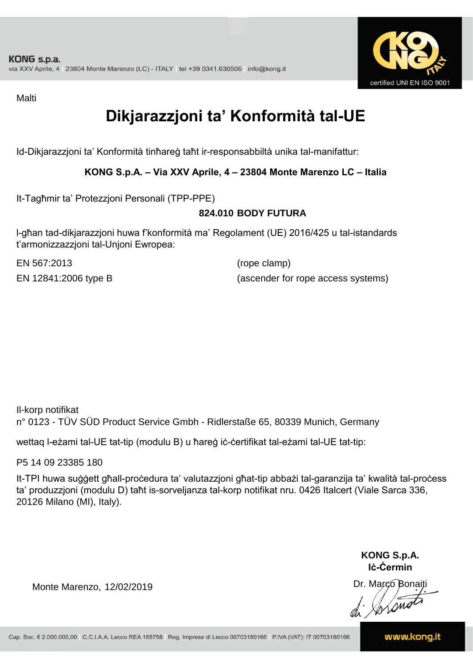

Malti

# **Dikjarazzjoni ta' Konformità tal-UE**

Id-Dikjarazzjoni ta' Konformità tinħareġ taħt ir-responsabbiltà unika tal-manifattur:

**KONG S.p.A. – Via XXV Aprile, 4 – 23804 Monte Marenzo LC – Italia**

It-Tagħmir ta' Protezzjoni Personali (TPP-PPE)

#### **824.010 BODY FUTURA**

l-għan tad-dikjarazzjoni huwa f'konformità ma' Regolament (UE) 2016/425 u tal-istandards t'armonizzazzjoni tal-Unjoni Ewropea:

EN 567:2013 (rope clamp)

EN 12841:2006 type B (ascender for rope access systems)

Il-korp notifikat n° 0123 - TÜV SÜD Product Service Gmbh - Ridlerstaße 65, 80339 Munich, Germany

wettaq l-eżami tal-UE tat-tip (modulu B) u ħareġ iċ-ċertifikat tal-eżami tal-UE tat-tip:

P5 14 09 23385 180

It-TPI huwa suġġett għall-proċedura ta' valutazzjoni għat-tip abbażi tal-garanzija ta' kwalità tal-proċess ta' produzzjoni (modulu D) taħt is-sorveljanza tal-korp notifikat nru. 0426 Italcert (Viale Sarca 336, 20126 Milano (MI), Italy).

> **KONG S.p.A. Iċ-Ċermin**

Dr. Marco Bonaiti di Stono

Monte Marenzo, 12/02/2019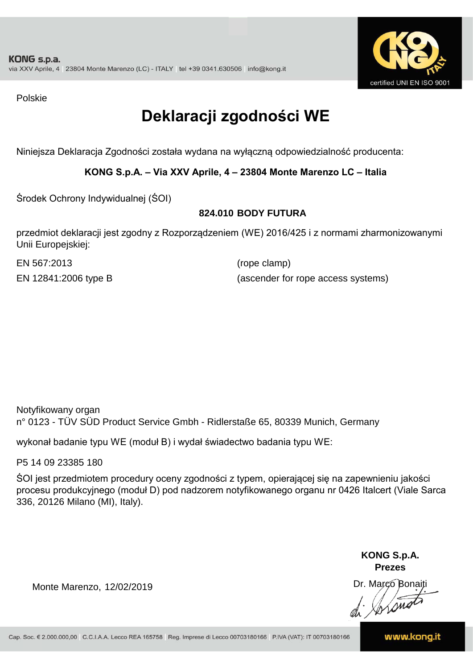

Polskie

# **Deklaracji zgodności WE**

Niniejsza Deklaracja Zgodności została wydana na wyłączną odpowiedzialność producenta:

**KONG S.p.A. – Via XXV Aprile, 4 – 23804 Monte Marenzo LC – Italia**

Środek Ochrony Indywidualnej (ŚOI)

#### **824.010 BODY FUTURA**

przedmiot deklaracji jest zgodny z Rozporządzeniem (WE) 2016/425 i z normami zharmonizowanymi Unii Europejskiej:

EN 567:2013 (rope clamp)

EN 12841:2006 type B (ascender for rope access systems)

Notyfikowany organ n° 0123 - TÜV SÜD Product Service Gmbh - Ridlerstaße 65, 80339 Munich, Germany

wykonał badanie typu WE (moduł B) i wydał świadectwo badania typu WE:

P5 14 09 23385 180

ŚOI jest przedmiotem procedury oceny zgodności z typem, opierającej się na zapewnieniu jakości procesu produkcyjnego (moduł D) pod nadzorem notyfikowanego organu nr 0426 Italcert (Viale Sarca 336, 20126 Milano (MI), Italy).

> **KONG S.p.A. Prezes**

Dr. Marco Bonaiti di Aromo

Monte Marenzo, 12/02/2019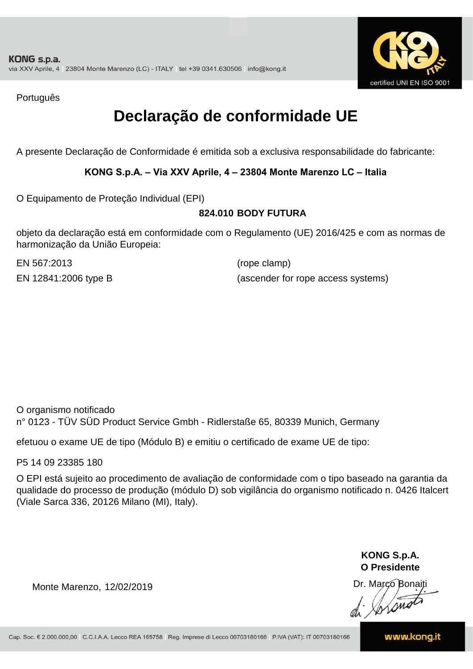

Português

## **Declaração de conformidade UE**

A presente Declaração de Conformidade é emitida sob a exclusiva responsabilidade do fabricante:

**KONG S.p.A. – Via XXV Aprile, 4 – 23804 Monte Marenzo LC – Italia**

O Equipamento de Proteção Individual (EPI)

#### **824.010 BODY FUTURA**

objeto da declaração está em conformidade com o Regulamento (UE) 2016/425 e com as normas de harmonização da União Europeia:

EN 567:2013 (rope clamp)

EN 12841:2006 type B (ascender for rope access systems)

O organismo notificado n° 0123 - TÜV SÜD Product Service Gmbh - Ridlerstaße 65, 80339 Munich, Germany

efetuou o exame UE de tipo (Módulo B) e emitiu o certificado de exame UE de tipo:

P5 14 09 23385 180

O EPI está sujeito ao procedimento de avaliação de conformidade com o tipo baseado na garantia da qualidade do processo de produção (módulo D) sob vigilância do organismo notificado n. 0426 Italcert (Viale Sarca 336, 20126 Milano (MI), Italy).

> **KONG S.p.A. O Presidente**

Dr. Marco Bonaiti di Aromo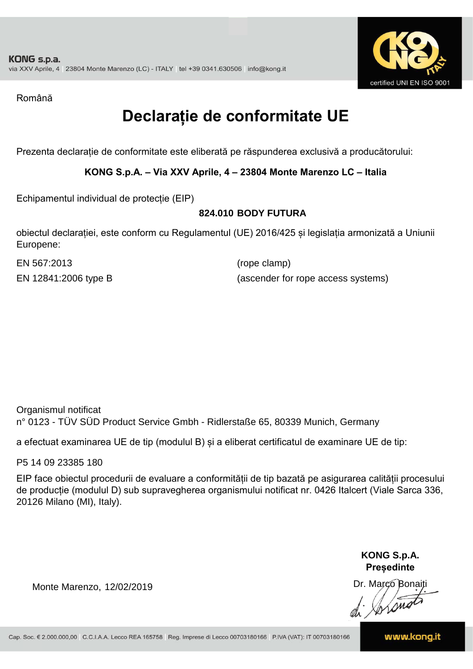

Română

## **Declarație de conformitate UE**

Prezenta declarație de conformitate este eliberată pe răspunderea exclusivă a producătorului:

**KONG S.p.A. – Via XXV Aprile, 4 – 23804 Monte Marenzo LC – Italia**

Echipamentul individual de protecție (EIP)

#### **824.010 BODY FUTURA**

obiectul declarației, este conform cu Regulamentul (UE) 2016/425 și legislația armonizată a Uniunii Europene:

EN 567:2013 (rope clamp)

EN 12841:2006 type B (ascender for rope access systems)

Organismul notificat n° 0123 - TÜV SÜD Product Service Gmbh - Ridlerstaße 65, 80339 Munich, Germany

a efectuat examinarea UE de tip (modulul B) și a eliberat certificatul de examinare UE de tip:

P5 14 09 23385 180

EIP face obiectul procedurii de evaluare a conformității de tip bazată pe asigurarea calității procesului de producție (modulul D) sub supravegherea organismului notificat nr. 0426 Italcert (Viale Sarca 336, 20126 Milano (MI), Italy).

> **KONG S.p.A. Președinte**

Dr. Marco Bonaiti di Stonom

Monte Marenzo, 12/02/2019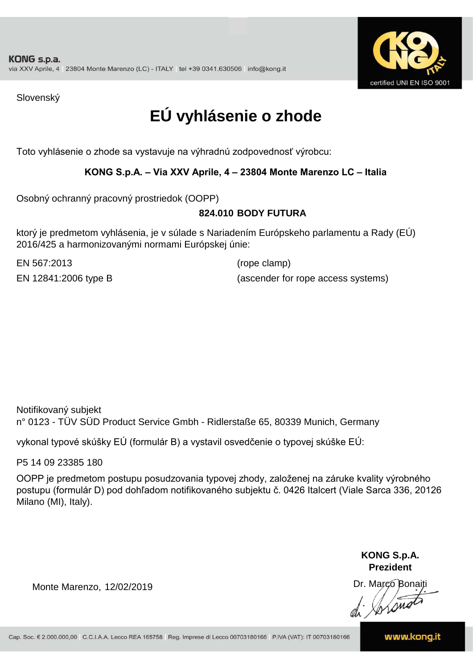

Slovenský

# **EÚ vyhlásenie o zhode**

Toto vyhlásenie o zhode sa vystavuje na výhradnú zodpovednosť výrobcu:

#### **KONG S.p.A. – Via XXV Aprile, 4 – 23804 Monte Marenzo LC – Italia**

Osobný ochranný pracovný prostriedok (OOPP)

#### **BODY FUTURA 824.010**

ktorý je predmetom vyhlásenia, je v súlade s Nariadením Európskeho parlamentu a Rady (EÚ) 2016/425 a harmonizovanými normami Európskej únie:

EN 567:2013 (rope clamp)

EN 12841:2006 type B (ascender for rope access systems)

Notifikovaný subjekt n° 0123 - TÜV SÜD Product Service Gmbh - Ridlerstaße 65, 80339 Munich, Germany

vykonal typové skúšky EÚ (formulár B) a vystavil osvedčenie o typovej skúške EÚ:

P5 14 09 23385 180

OOPP je predmetom postupu posudzovania typovej zhody, založenej na záruke kvality výrobného postupu (formulár D) pod dohľadom notifikovaného subjektu č. 0426 Italcert (Viale Sarca 336, 20126 Milano (MI), Italy).

> **KONG S.p.A. Prezident**

Dr. Marco Bonaiti di Aromor

Monte Marenzo, 12/02/2019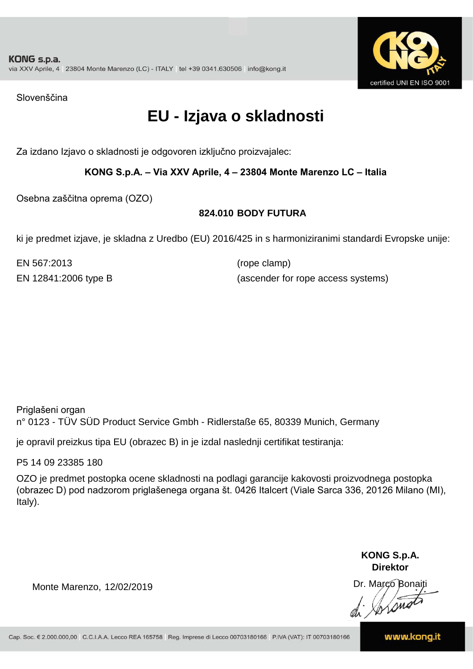

Slovenščina

## **EU - Izjava o skladnosti**

Za izdano Izjavo o skladnosti je odgovoren izključno proizvajalec:

#### **KONG S.p.A. – Via XXV Aprile, 4 – 23804 Monte Marenzo LC – Italia**

Osebna zaščitna oprema (OZO)

#### **824.010 BODY FUTURA**

ki je predmet izjave, je skladna z Uredbo (EU) 2016/425 in s harmoniziranimi standardi Evropske unije:

EN 567:2013 (rope clamp)

EN 12841:2006 type B (ascender for rope access systems)

Priglašeni organ n° 0123 - TÜV SÜD Product Service Gmbh - Ridlerstaße 65, 80339 Munich, Germany

je opravil preizkus tipa EU (obrazec B) in je izdal naslednji certifikat testiranja:

P5 14 09 23385 180

OZO je predmet postopka ocene skladnosti na podlagi garancije kakovosti proizvodnega postopka (obrazec D) pod nadzorom priglašenega organa št. 0426 Italcert (Viale Sarca 336, 20126 Milano (MI), Italy).

> **KONG S.p.A. Direktor**

Dr. Marco Bonaiti di Stonom

Monte Marenzo, 12/02/2019